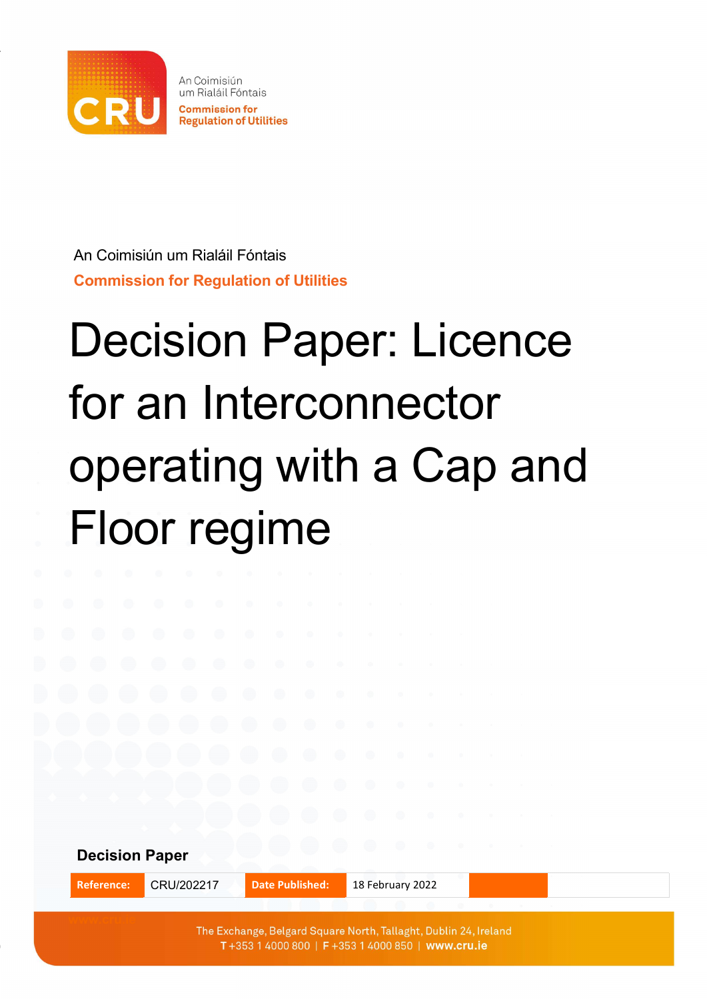

An Coimisiún um Rialáil Fóntais Commission for Regulation of Utilities

# Decision Paper: Licence for an Interconnector operating with a Cap and Floor regime

Decision Paper Reference: CRU/202217 Date Published: 18 February 2022

> The Exchange, Belgard Square North, Tallaght, Dublin 24, Ireland T+353 1 4000 800 | F+353 1 4000 850 | www.cru.ie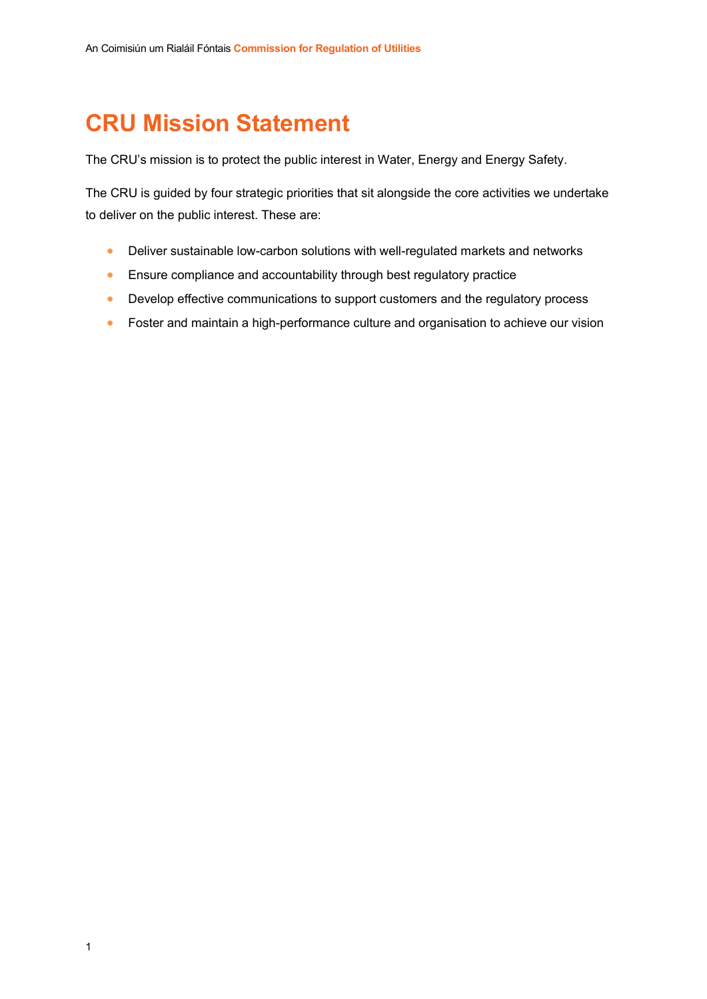# CRU Mission Statement

The CRU's mission is to protect the public interest in Water, Energy and Energy Safety.

The CRU is guided by four strategic priorities that sit alongside the core activities we undertake to deliver on the public interest. These are:

- Deliver sustainable low-carbon solutions with well-regulated markets and networks
- **Ensure compliance and accountability through best regulatory practice**
- Develop effective communications to support customers and the regulatory process
- **•** Foster and maintain a high-performance culture and organisation to achieve our vision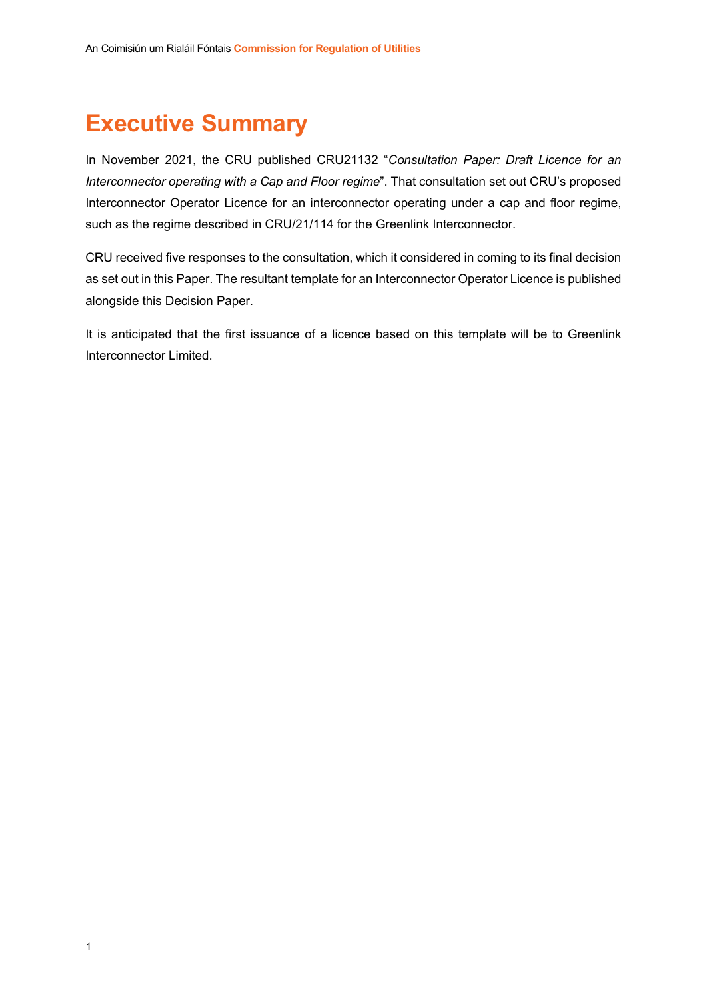## Executive Summary

In November 2021, the CRU published CRU21132 "Consultation Paper: Draft Licence for an Interconnector operating with a Cap and Floor regime". That consultation set out CRU's proposed Interconnector Operator Licence for an interconnector operating under a cap and floor regime, such as the regime described in CRU/21/114 for the Greenlink Interconnector.

CRU received five responses to the consultation, which it considered in coming to its final decision as set out in this Paper. The resultant template for an Interconnector Operator Licence is published alongside this Decision Paper.

It is anticipated that the first issuance of a licence based on this template will be to Greenlink Interconnector Limited.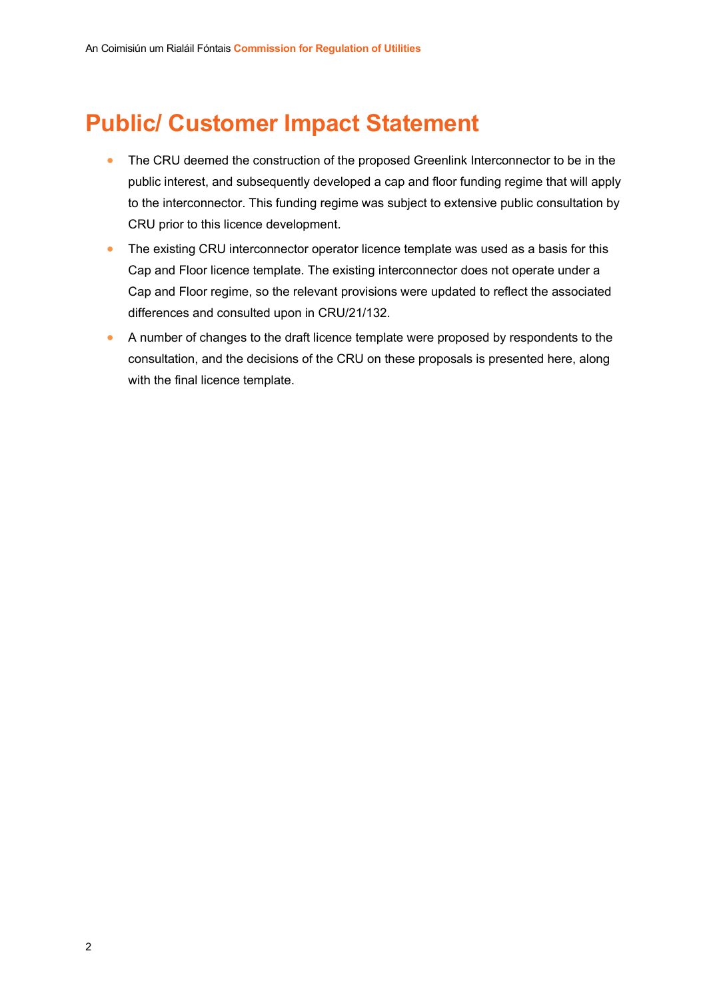# Public/ Customer Impact Statement

- The CRU deemed the construction of the proposed Greenlink Interconnector to be in the public interest, and subsequently developed a cap and floor funding regime that will apply to the interconnector. This funding regime was subject to extensive public consultation by CRU prior to this licence development.
- The existing CRU interconnector operator licence template was used as a basis for this Cap and Floor licence template. The existing interconnector does not operate under a Cap and Floor regime, so the relevant provisions were updated to reflect the associated differences and consulted upon in CRU/21/132.
- A number of changes to the draft licence template were proposed by respondents to the consultation, and the decisions of the CRU on these proposals is presented here, along with the final licence template.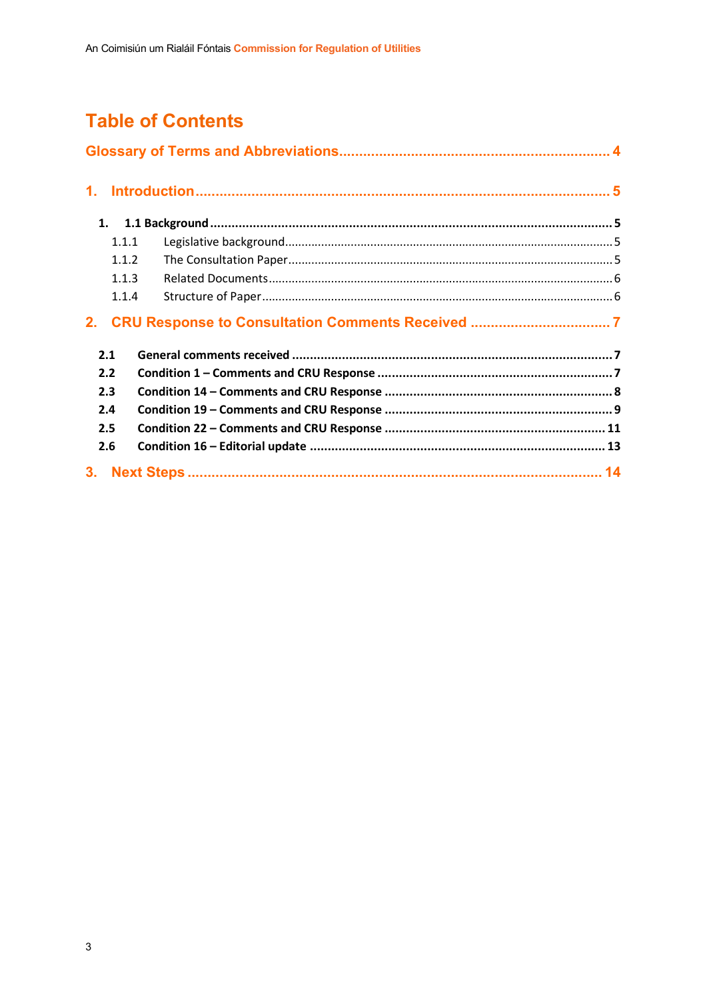## **Table of Contents**

| 1.             |       |  |  |  |  |
|----------------|-------|--|--|--|--|
|                | 1.    |  |  |  |  |
|                | 1.1.1 |  |  |  |  |
|                | 1.1.2 |  |  |  |  |
|                | 1.1.3 |  |  |  |  |
|                | 1.1.4 |  |  |  |  |
|                |       |  |  |  |  |
|                | 2.1   |  |  |  |  |
| 2.2            |       |  |  |  |  |
| 2.3            |       |  |  |  |  |
| 2.4            |       |  |  |  |  |
| 2.5            |       |  |  |  |  |
| 2.6            |       |  |  |  |  |
| 3 <sub>1</sub> |       |  |  |  |  |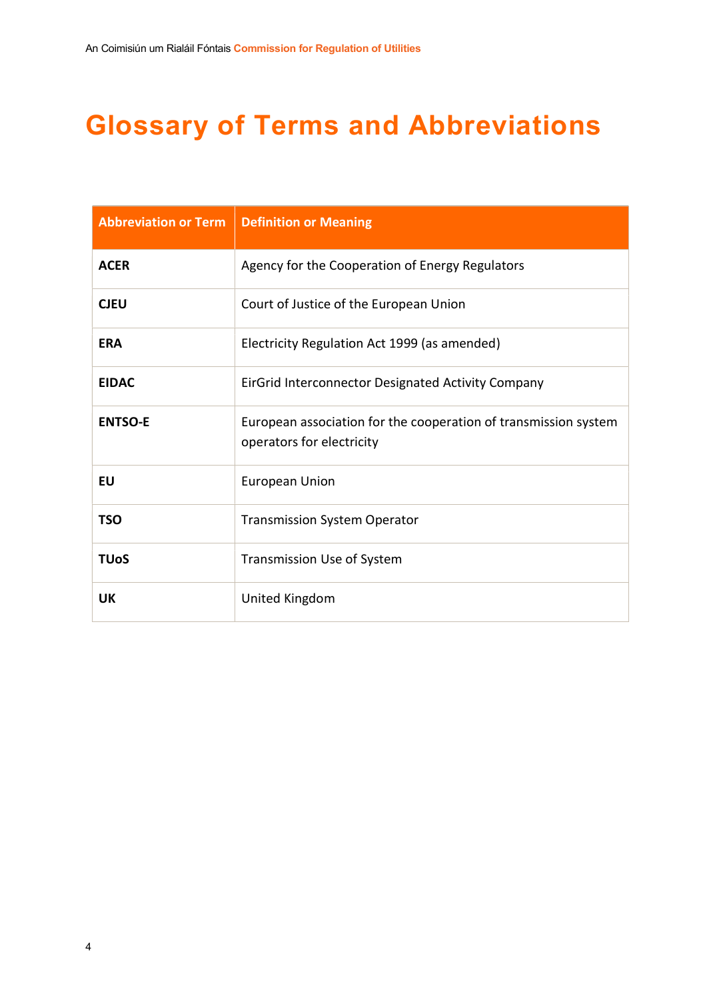# Glossary of Terms and Abbreviations

| <b>Abbreviation or Term</b> | <b>Definition or Meaning</b>                                                                 |
|-----------------------------|----------------------------------------------------------------------------------------------|
| <b>ACER</b>                 | Agency for the Cooperation of Energy Regulators                                              |
| <b>CJEU</b>                 | Court of Justice of the European Union                                                       |
| <b>ERA</b>                  | Electricity Regulation Act 1999 (as amended)                                                 |
| <b>EIDAC</b>                | EirGrid Interconnector Designated Activity Company                                           |
| <b>ENTSO-E</b>              | European association for the cooperation of transmission system<br>operators for electricity |
| <b>EU</b>                   | <b>European Union</b>                                                                        |
| TSO                         | <b>Transmission System Operator</b>                                                          |
| <b>TUoS</b>                 | Transmission Use of System                                                                   |
| UK                          | United Kingdom                                                                               |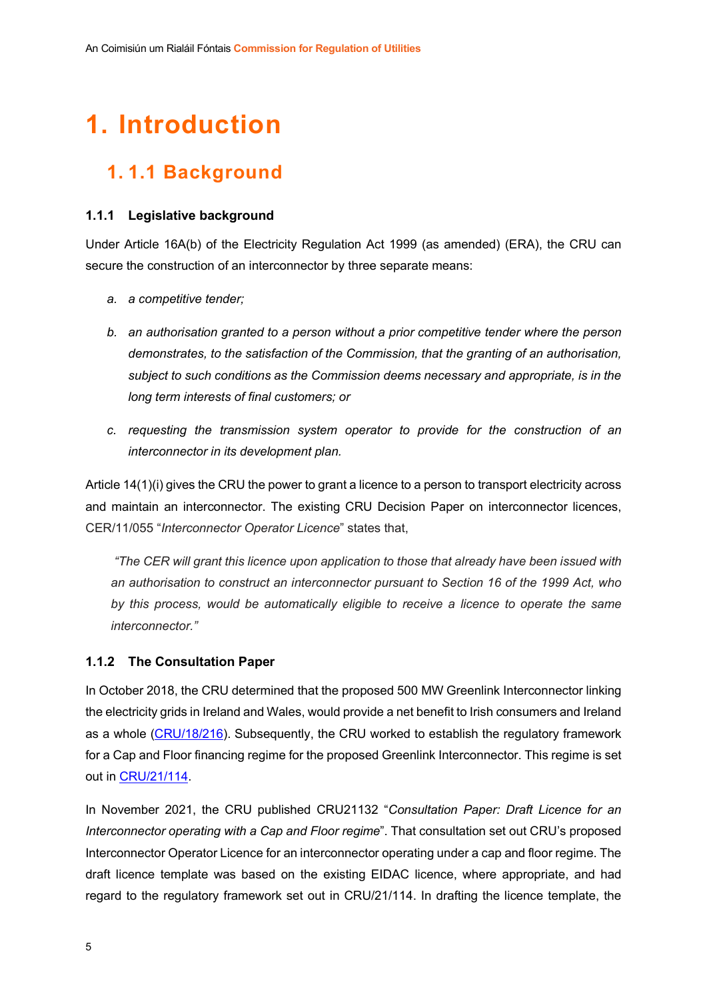# 1. Introduction

## 1. 1.1 Background

## 1.1.1 Legislative background

Under Article 16A(b) of the Electricity Regulation Act 1999 (as amended) (ERA), the CRU can secure the construction of an interconnector by three separate means:

- a. a competitive tender;
- b. an authorisation granted to a person without a prior competitive tender where the person demonstrates, to the satisfaction of the Commission, that the granting of an authorisation, subject to such conditions as the Commission deems necessary and appropriate, is in the long term interests of final customers; or
- c. requesting the transmission system operator to provide for the construction of an interconnector in its development plan.

Article 14(1)(i) gives the CRU the power to grant a licence to a person to transport electricity across and maintain an interconnector. The existing CRU Decision Paper on interconnector licences, CER/11/055 "Interconnector Operator Licence" states that,

 "The CER will grant this licence upon application to those that already have been issued with an authorisation to construct an interconnector pursuant to Section 16 of the 1999 Act, who by this process, would be automatically eligible to receive a licence to operate the same interconnector."

## 1.1.2 The Consultation Paper

In October 2018, the CRU determined that the proposed 500 MW Greenlink Interconnector linking the electricity grids in Ireland and Wales, would provide a net benefit to Irish consumers and Ireland as a whole (CRU/18/216). Subsequently, the CRU worked to establish the regulatory framework for a Cap and Floor financing regime for the proposed Greenlink Interconnector. This regime is set out in CRU/21/114.

In November 2021, the CRU published CRU21132 "Consultation Paper: Draft Licence for an Interconnector operating with a Cap and Floor regime". That consultation set out CRU's proposed Interconnector Operator Licence for an interconnector operating under a cap and floor regime. The draft licence template was based on the existing EIDAC licence, where appropriate, and had regard to the regulatory framework set out in CRU/21/114. In drafting the licence template, the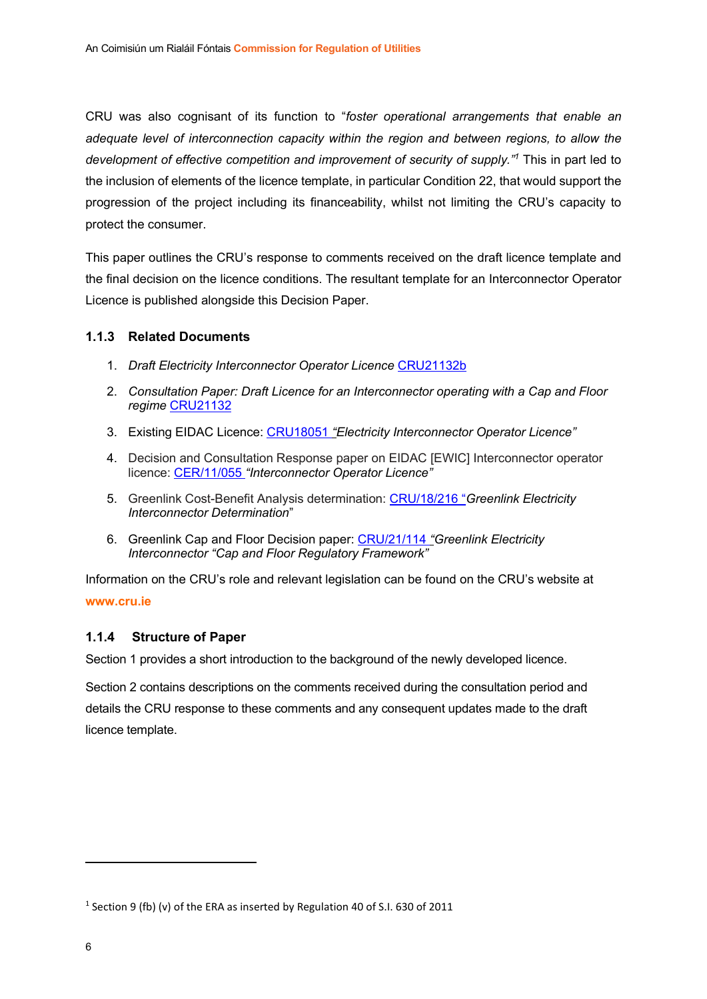CRU was also cognisant of its function to "foster operational arrangements that enable an adequate level of interconnection capacity within the region and between regions, to allow the development of effective competition and improvement of security of supply."<sup>1</sup> This in part led to the inclusion of elements of the licence template, in particular Condition 22, that would support the progression of the project including its financeability, whilst not limiting the CRU's capacity to protect the consumer.

This paper outlines the CRU's response to comments received on the draft licence template and the final decision on the licence conditions. The resultant template for an Interconnector Operator Licence is published alongside this Decision Paper.

## 1.1.3 Related Documents

- 1. Draft Electricity Interconnector Operator Licence CRU21132b
- 2. Consultation Paper: Draft Licence for an Interconnector operating with a Cap and Floor regime CRU21132
- 3. Existing EIDAC Licence: CRU18051 "Electricity Interconnector Operator Licence"
- 4. Decision and Consultation Response paper on EIDAC [EWIC] Interconnector operator licence: CER/11/055 "Interconnector Operator Licence"
- 5. Greenlink Cost-Benefit Analysis determination: CRU/18/216 "Greenlink Electricity Interconnector Determination"
- 6. Greenlink Cap and Floor Decision paper: CRU/21/114 "Greenlink Electricity Interconnector "Cap and Floor Regulatory Framework"

Information on the CRU's role and relevant legislation can be found on the CRU's website at www.cru.ie

## 1.1.4 Structure of Paper

Section 1 provides a short introduction to the background of the newly developed licence.

Section 2 contains descriptions on the comments received during the consultation period and details the CRU response to these comments and any consequent updates made to the draft licence template.

 $1$  Section 9 (fb) (v) of the ERA as inserted by Regulation 40 of S.I. 630 of 2011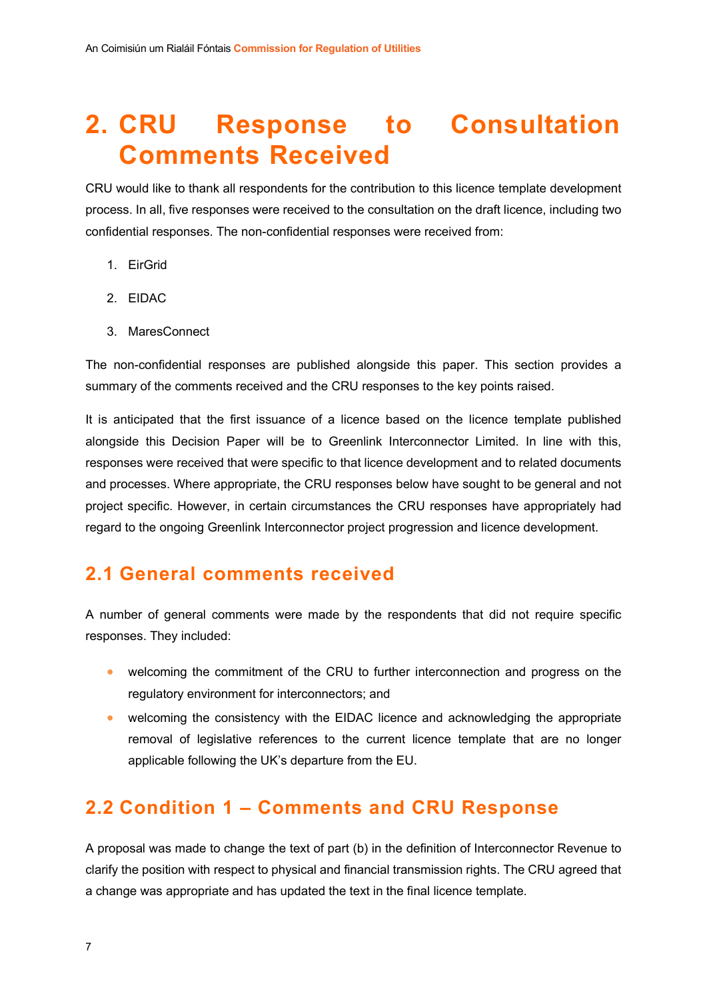# 2. CRU Response to Consultation Comments Received

CRU would like to thank all respondents for the contribution to this licence template development process. In all, five responses were received to the consultation on the draft licence, including two confidential responses. The non-confidential responses were received from:

- 1. EirGrid
- 2. EIDAC
- 3. MaresConnect

The non-confidential responses are published alongside this paper. This section provides a summary of the comments received and the CRU responses to the key points raised.

It is anticipated that the first issuance of a licence based on the licence template published alongside this Decision Paper will be to Greenlink Interconnector Limited. In line with this, responses were received that were specific to that licence development and to related documents and processes. Where appropriate, the CRU responses below have sought to be general and not project specific. However, in certain circumstances the CRU responses have appropriately had regard to the ongoing Greenlink Interconnector project progression and licence development.

## 2.1 General comments received

A number of general comments were made by the respondents that did not require specific responses. They included:

- welcoming the commitment of the CRU to further interconnection and progress on the regulatory environment for interconnectors; and
- welcoming the consistency with the EIDAC licence and acknowledging the appropriate removal of legislative references to the current licence template that are no longer applicable following the UK's departure from the EU.

## 2.2 Condition 1 – Comments and CRU Response

A proposal was made to change the text of part (b) in the definition of Interconnector Revenue to clarify the position with respect to physical and financial transmission rights. The CRU agreed that a change was appropriate and has updated the text in the final licence template.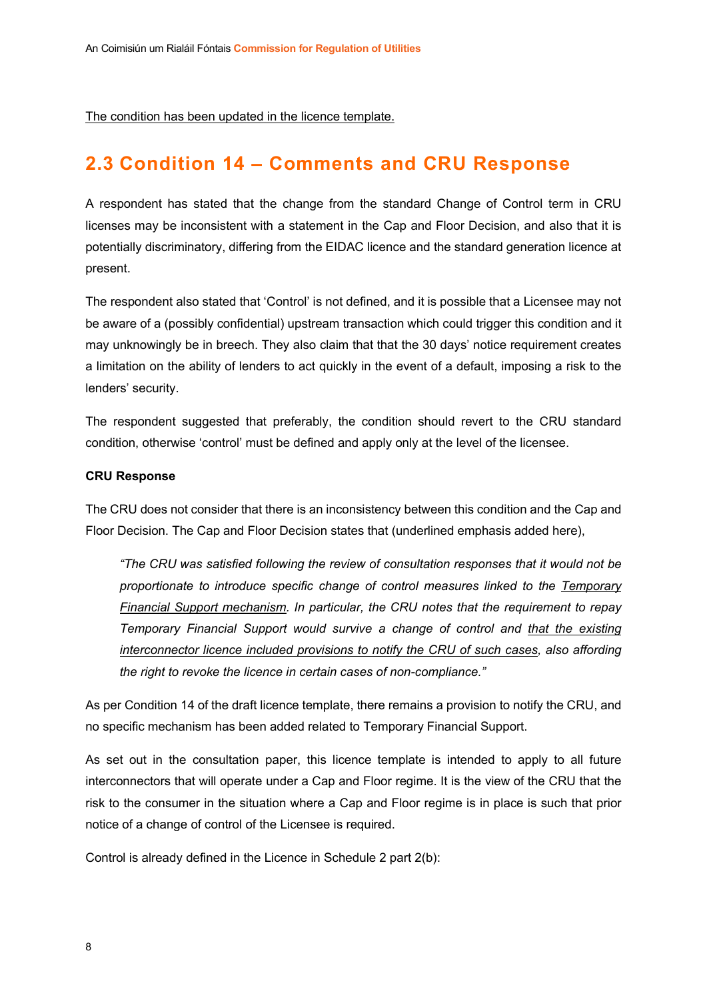The condition has been updated in the licence template.

## 2.3 Condition 14 – Comments and CRU Response

A respondent has stated that the change from the standard Change of Control term in CRU licenses may be inconsistent with a statement in the Cap and Floor Decision, and also that it is potentially discriminatory, differing from the EIDAC licence and the standard generation licence at present.

The respondent also stated that 'Control' is not defined, and it is possible that a Licensee may not be aware of a (possibly confidential) upstream transaction which could trigger this condition and it may unknowingly be in breech. They also claim that that the 30 days' notice requirement creates a limitation on the ability of lenders to act quickly in the event of a default, imposing a risk to the lenders' security.

The respondent suggested that preferably, the condition should revert to the CRU standard condition, otherwise 'control' must be defined and apply only at the level of the licensee.

#### CRU Response

The CRU does not consider that there is an inconsistency between this condition and the Cap and Floor Decision. The Cap and Floor Decision states that (underlined emphasis added here),

"The CRU was satisfied following the review of consultation responses that it would not be proportionate to introduce specific change of control measures linked to the Temporary Financial Support mechanism. In particular, the CRU notes that the requirement to repay Temporary Financial Support would survive a change of control and that the existing interconnector licence included provisions to notify the CRU of such cases, also affording the right to revoke the licence in certain cases of non-compliance."

As per Condition 14 of the draft licence template, there remains a provision to notify the CRU, and no specific mechanism has been added related to Temporary Financial Support.

As set out in the consultation paper, this licence template is intended to apply to all future interconnectors that will operate under a Cap and Floor regime. It is the view of the CRU that the risk to the consumer in the situation where a Cap and Floor regime is in place is such that prior notice of a change of control of the Licensee is required.

Control is already defined in the Licence in Schedule 2 part 2(b):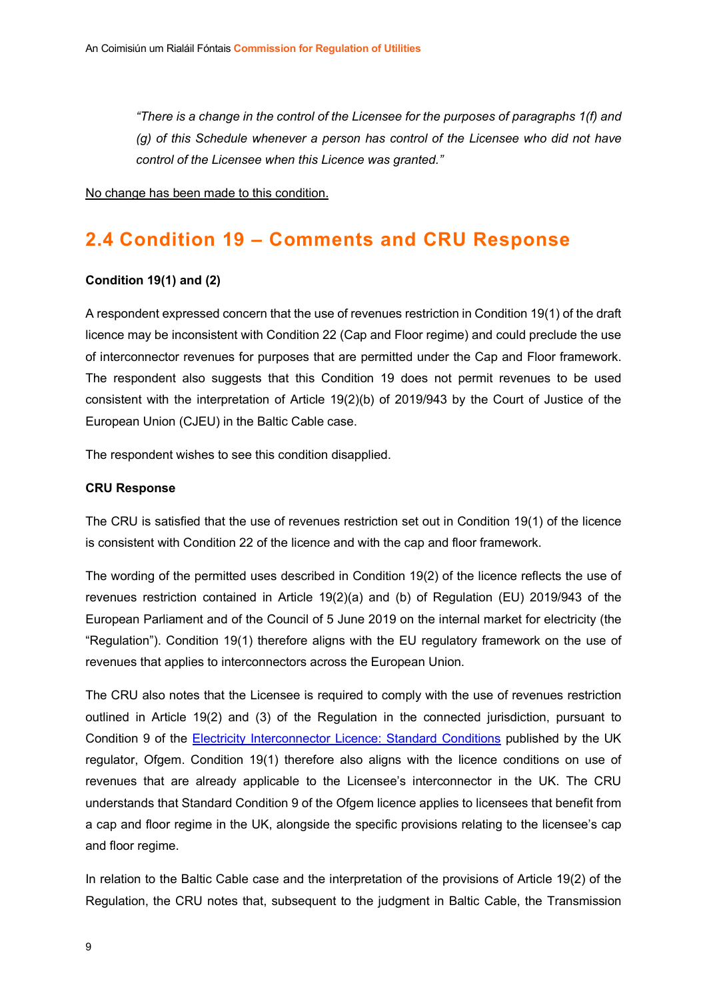"There is a change in the control of the Licensee for the purposes of paragraphs 1(f) and (g) of this Schedule whenever a person has control of the Licensee who did not have control of the Licensee when this Licence was granted."

No change has been made to this condition.

## 2.4 Condition 19 – Comments and CRU Response

#### Condition 19(1) and (2)

A respondent expressed concern that the use of revenues restriction in Condition 19(1) of the draft licence may be inconsistent with Condition 22 (Cap and Floor regime) and could preclude the use of interconnector revenues for purposes that are permitted under the Cap and Floor framework. The respondent also suggests that this Condition 19 does not permit revenues to be used consistent with the interpretation of Article 19(2)(b) of 2019/943 by the Court of Justice of the European Union (CJEU) in the Baltic Cable case.

The respondent wishes to see this condition disapplied.

#### CRU Response

The CRU is satisfied that the use of revenues restriction set out in Condition 19(1) of the licence is consistent with Condition 22 of the licence and with the cap and floor framework.

The wording of the permitted uses described in Condition 19(2) of the licence reflects the use of revenues restriction contained in Article 19(2)(a) and (b) of Regulation (EU) 2019/943 of the European Parliament and of the Council of 5 June 2019 on the internal market for electricity (the "Regulation"). Condition 19(1) therefore aligns with the EU regulatory framework on the use of revenues that applies to interconnectors across the European Union.

The CRU also notes that the Licensee is required to comply with the use of revenues restriction outlined in Article 19(2) and (3) of the Regulation in the connected jurisdiction, pursuant to Condition 9 of the Electricity Interconnector Licence: Standard Conditions published by the UK regulator, Ofgem. Condition 19(1) therefore also aligns with the licence conditions on use of revenues that are already applicable to the Licensee's interconnector in the UK. The CRU understands that Standard Condition 9 of the Ofgem licence applies to licensees that benefit from a cap and floor regime in the UK, alongside the specific provisions relating to the licensee's cap and floor regime.

In relation to the Baltic Cable case and the interpretation of the provisions of Article 19(2) of the Regulation, the CRU notes that, subsequent to the judgment in Baltic Cable, the Transmission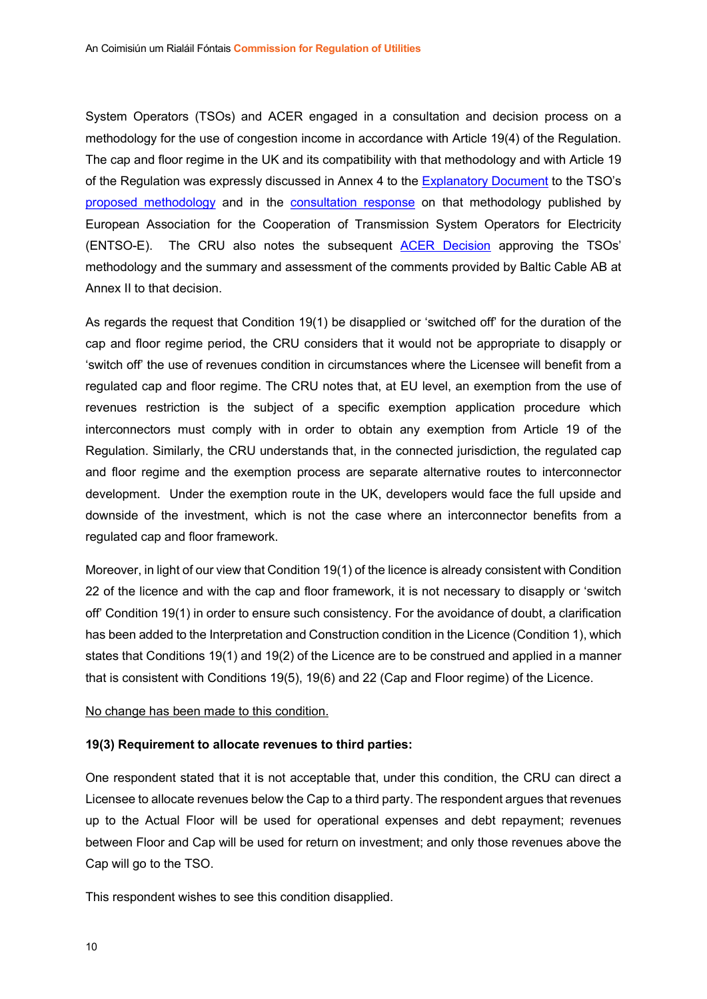System Operators (TSOs) and ACER engaged in a consultation and decision process on a methodology for the use of congestion income in accordance with Article 19(4) of the Regulation. The cap and floor regime in the UK and its compatibility with that methodology and with Article 19 of the Regulation was expressly discussed in Annex 4 to the Explanatory Document to the TSO's proposed methodology and in the consultation response on that methodology published by European Association for the Cooperation of Transmission System Operators for Electricity (ENTSO-E). The CRU also notes the subsequent ACER Decision approving the TSOs' methodology and the summary and assessment of the comments provided by Baltic Cable AB at Annex II to that decision.

As regards the request that Condition 19(1) be disapplied or 'switched off' for the duration of the cap and floor regime period, the CRU considers that it would not be appropriate to disapply or 'switch off' the use of revenues condition in circumstances where the Licensee will benefit from a regulated cap and floor regime. The CRU notes that, at EU level, an exemption from the use of revenues restriction is the subject of a specific exemption application procedure which interconnectors must comply with in order to obtain any exemption from Article 19 of the Regulation. Similarly, the CRU understands that, in the connected jurisdiction, the regulated cap and floor regime and the exemption process are separate alternative routes to interconnector development. Under the exemption route in the UK, developers would face the full upside and downside of the investment, which is not the case where an interconnector benefits from a regulated cap and floor framework.

Moreover, in light of our view that Condition 19(1) of the licence is already consistent with Condition 22 of the licence and with the cap and floor framework, it is not necessary to disapply or 'switch off' Condition 19(1) in order to ensure such consistency. For the avoidance of doubt, a clarification has been added to the Interpretation and Construction condition in the Licence (Condition 1), which states that Conditions 19(1) and 19(2) of the Licence are to be construed and applied in a manner that is consistent with Conditions 19(5), 19(6) and 22 (Cap and Floor regime) of the Licence.

#### No change has been made to this condition.

#### 19(3) Requirement to allocate revenues to third parties:

One respondent stated that it is not acceptable that, under this condition, the CRU can direct a Licensee to allocate revenues below the Cap to a third party. The respondent argues that revenues up to the Actual Floor will be used for operational expenses and debt repayment; revenues between Floor and Cap will be used for return on investment; and only those revenues above the Cap will go to the TSO.

This respondent wishes to see this condition disapplied.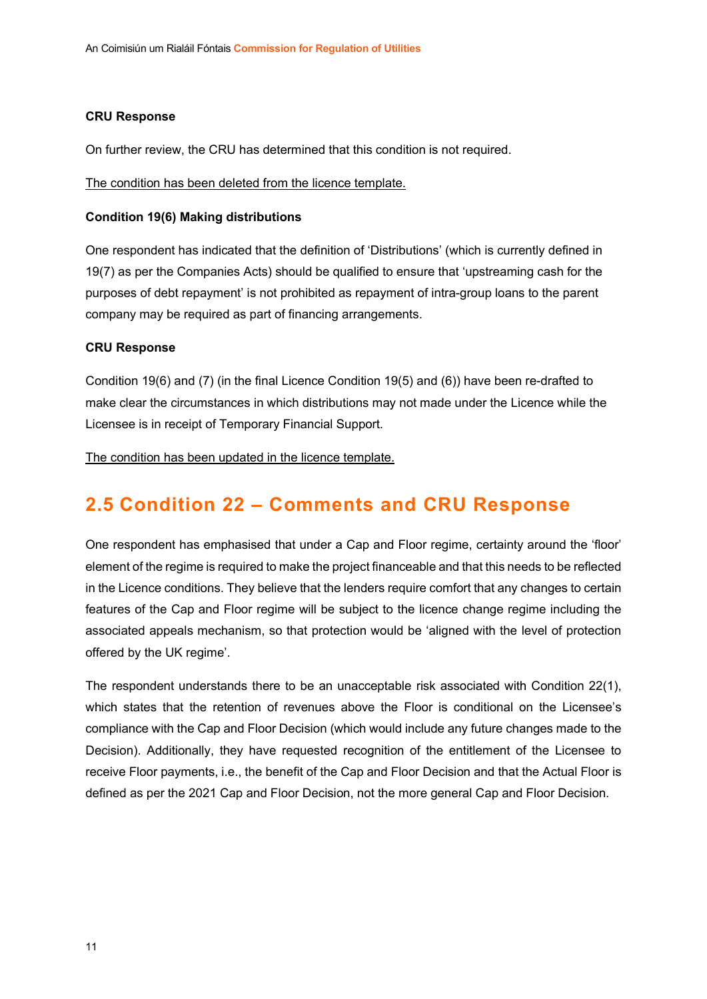#### CRU Response

On further review, the CRU has determined that this condition is not required.

The condition has been deleted from the licence template.

#### Condition 19(6) Making distributions

One respondent has indicated that the definition of 'Distributions' (which is currently defined in 19(7) as per the Companies Acts) should be qualified to ensure that 'upstreaming cash for the purposes of debt repayment' is not prohibited as repayment of intra-group loans to the parent company may be required as part of financing arrangements.

#### CRU Response

Condition 19(6) and (7) (in the final Licence Condition 19(5) and (6)) have been re-drafted to make clear the circumstances in which distributions may not made under the Licence while the Licensee is in receipt of Temporary Financial Support.

The condition has been updated in the licence template.

## 2.5 Condition 22 – Comments and CRU Response

One respondent has emphasised that under a Cap and Floor regime, certainty around the 'floor' element of the regime is required to make the project financeable and that this needs to be reflected in the Licence conditions. They believe that the lenders require comfort that any changes to certain features of the Cap and Floor regime will be subject to the licence change regime including the associated appeals mechanism, so that protection would be 'aligned with the level of protection offered by the UK regime'.

The respondent understands there to be an unacceptable risk associated with Condition 22(1), which states that the retention of revenues above the Floor is conditional on the Licensee's compliance with the Cap and Floor Decision (which would include any future changes made to the Decision). Additionally, they have requested recognition of the entitlement of the Licensee to receive Floor payments, i.e., the benefit of the Cap and Floor Decision and that the Actual Floor is defined as per the 2021 Cap and Floor Decision, not the more general Cap and Floor Decision.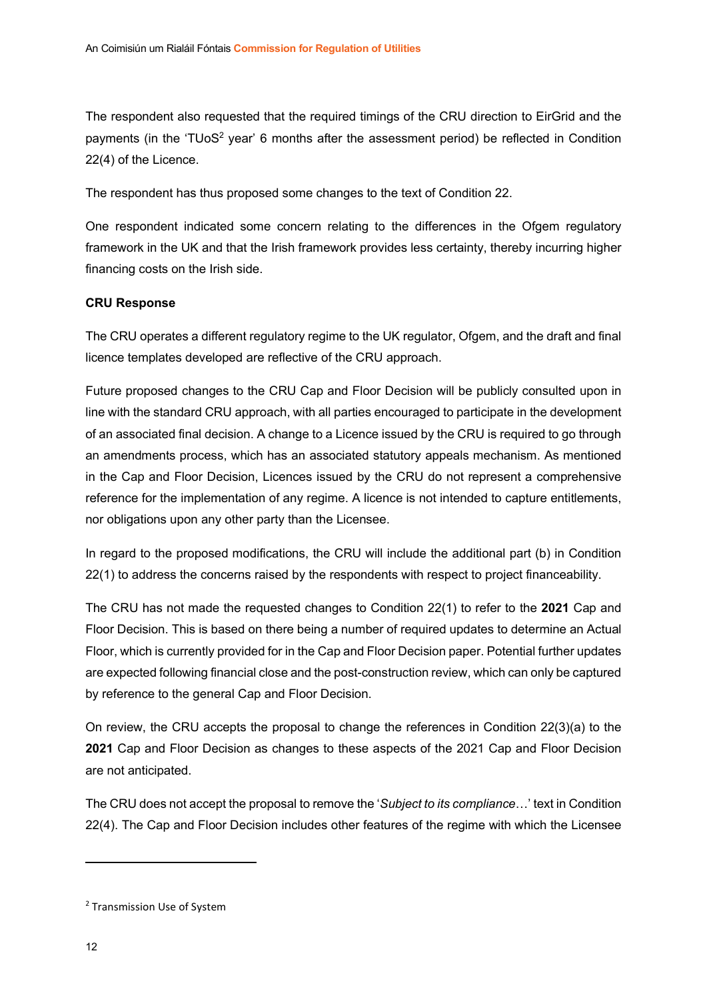The respondent also requested that the required timings of the CRU direction to EirGrid and the payments (in the 'TUoS<sup>2</sup> year' 6 months after the assessment period) be reflected in Condition 22(4) of the Licence.

The respondent has thus proposed some changes to the text of Condition 22.

One respondent indicated some concern relating to the differences in the Ofgem regulatory framework in the UK and that the Irish framework provides less certainty, thereby incurring higher financing costs on the Irish side.

## CRU Response

The CRU operates a different regulatory regime to the UK regulator, Ofgem, and the draft and final licence templates developed are reflective of the CRU approach.

Future proposed changes to the CRU Cap and Floor Decision will be publicly consulted upon in line with the standard CRU approach, with all parties encouraged to participate in the development of an associated final decision. A change to a Licence issued by the CRU is required to go through an amendments process, which has an associated statutory appeals mechanism. As mentioned in the Cap and Floor Decision, Licences issued by the CRU do not represent a comprehensive reference for the implementation of any regime. A licence is not intended to capture entitlements, nor obligations upon any other party than the Licensee.

In regard to the proposed modifications, the CRU will include the additional part (b) in Condition 22(1) to address the concerns raised by the respondents with respect to project financeability.

The CRU has not made the requested changes to Condition 22(1) to refer to the 2021 Cap and Floor Decision. This is based on there being a number of required updates to determine an Actual Floor, which is currently provided for in the Cap and Floor Decision paper. Potential further updates are expected following financial close and the post-construction review, which can only be captured by reference to the general Cap and Floor Decision.

On review, the CRU accepts the proposal to change the references in Condition 22(3)(a) to the 2021 Cap and Floor Decision as changes to these aspects of the 2021 Cap and Floor Decision are not anticipated.

The CRU does not accept the proposal to remove the 'Subject to its compliance…' text in Condition 22(4). The Cap and Floor Decision includes other features of the regime with which the Licensee

<sup>&</sup>lt;sup>2</sup> Transmission Use of System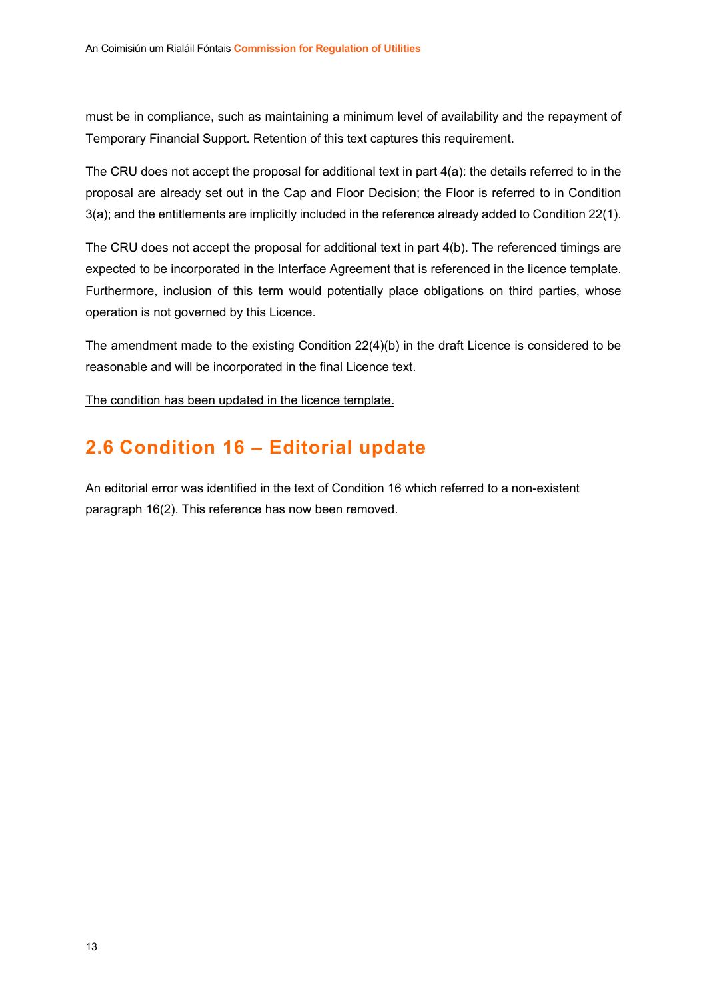must be in compliance, such as maintaining a minimum level of availability and the repayment of Temporary Financial Support. Retention of this text captures this requirement.

The CRU does not accept the proposal for additional text in part 4(a): the details referred to in the proposal are already set out in the Cap and Floor Decision; the Floor is referred to in Condition 3(a); and the entitlements are implicitly included in the reference already added to Condition 22(1).

The CRU does not accept the proposal for additional text in part 4(b). The referenced timings are expected to be incorporated in the Interface Agreement that is referenced in the licence template. Furthermore, inclusion of this term would potentially place obligations on third parties, whose operation is not governed by this Licence.

The amendment made to the existing Condition 22(4)(b) in the draft Licence is considered to be reasonable and will be incorporated in the final Licence text.

The condition has been updated in the licence template.

## 2.6 Condition 16 – Editorial update

An editorial error was identified in the text of Condition 16 which referred to a non-existent paragraph 16(2). This reference has now been removed.